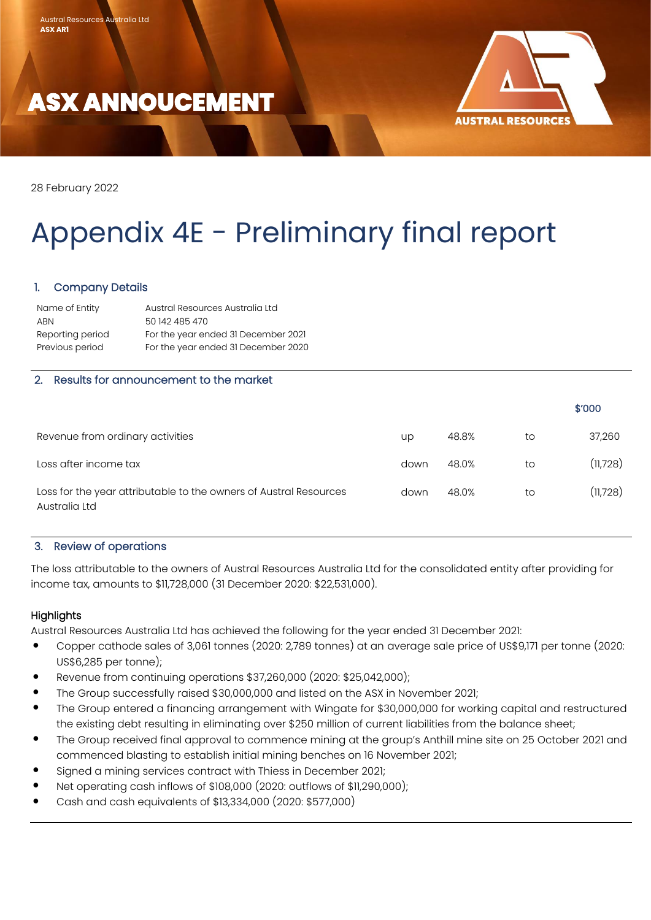



28 February 2022

۱

# Appendix 4E - Preliminary final report

# 1. Company Details

| Austral Resources Australia Ltd     |
|-------------------------------------|
| 50 142 485 470                      |
| For the year ended 31 December 2021 |
| For the year ended 31 December 2020 |
|                                     |

# 2. Results for announcement to the market

|                                                                                    |      |       |    | \$'000   |
|------------------------------------------------------------------------------------|------|-------|----|----------|
| Revenue from ordinary activities                                                   | up   | 48.8% | to | 37,260   |
| Loss after income tax                                                              | down | 48.0% | to | (11,728) |
| Loss for the year attributable to the owners of Austral Resources<br>Australia Ltd | down | 48.0% | to | (11,728) |

#### 3. Review of operations

The loss attributable to the owners of Austral Resources Australia Ltd for the consolidated entity after providing for income tax, amounts to \$11,728,000 (31 December 2020: \$22,531,000).

#### **Highlights**

Austral Resources Australia Ltd has achieved the following for the year ended 31 December 2021:

- Copper cathode sales of 3,061 tonnes (2020: 2,789 tonnes) at an average sale price of US\$9,171 per tonne (2020: US\$6,285 per tonne);
- Revenue from continuing operations \$37,260,000 (2020: \$25,042,000);
- The Group successfully raised \$30,000,000 and listed on the ASX in November 2021;
- The Group entered a financing arrangement with Wingate for \$30,000,000 for working capital and restructured the existing debt resulting in eliminating over \$250 million of current liabilities from the balance sheet;
- The Group received final approval to commence mining at the group's Anthill mine site on 25 October 2021 and commenced blasting to establish initial mining benches on 16 November 2021;
- Signed a mining services contract with Thiess in December 2021;
- Net operating cash inflows of \$108,000 (2020: outflows of \$11,290,000);
- Cash and cash equivalents of \$13,334,000 (2020: \$577,000)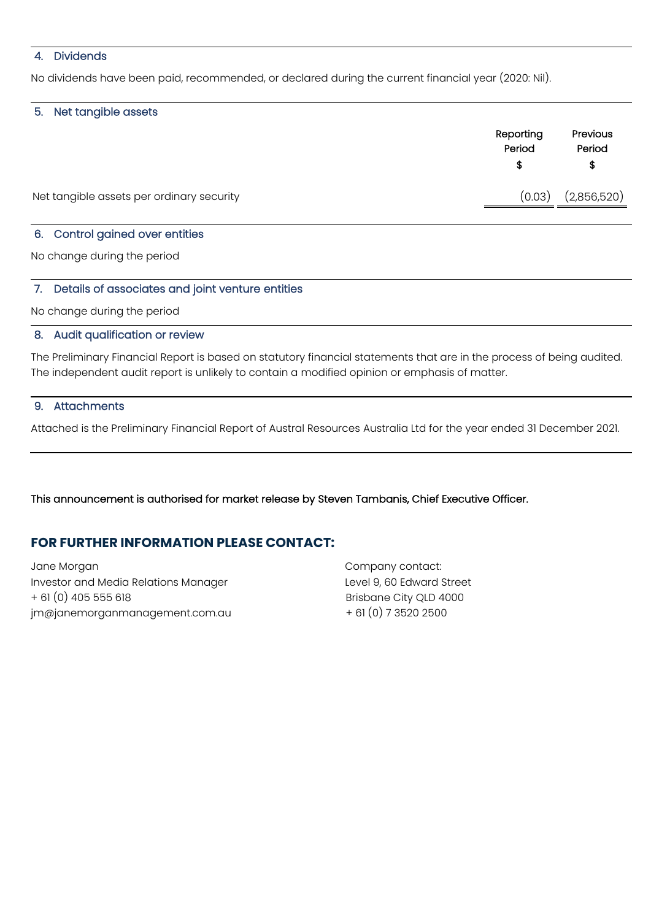# 4. Dividends

No dividends have been paid, recommended, or declared during the current financial year (2020: Nil).

#### 5. Net tangible assets

|                                           | Reporting<br>Period | Previous<br>Period<br>\$ |
|-------------------------------------------|---------------------|--------------------------|
| Net tangible assets per ordinary security | (0.03)              | (2,856,520)              |
|                                           |                     |                          |

# 6. Control gained over entities

No change during the period

#### 7. Details of associates and joint venture entities

No change during the period

#### 8. Audit qualification or review

The Preliminary Financial Report is based on statutory financial statements that are in the process of being audited. The independent audit report is unlikely to contain a modified opinion or emphasis of matter.

# 9. Attachments

Attached is the Preliminary Financial Report of Austral Resources Australia Ltd for the year ended 31 December 2021.

This announcement is authorised for market release by Steven Tambanis, Chief Executive Officer.

# **FOR FURTHER INFORMATION PLEASE CONTACT:**

Jane Morgan Investor and Media Relations Manager + 61 (0) 405 555 618 Brisbane City QLD 4000  $jm@janemorganmanagement.com.au$   $+ 61(0)$  7 3520 2500

Company contact: Level 9, 60 Edward Street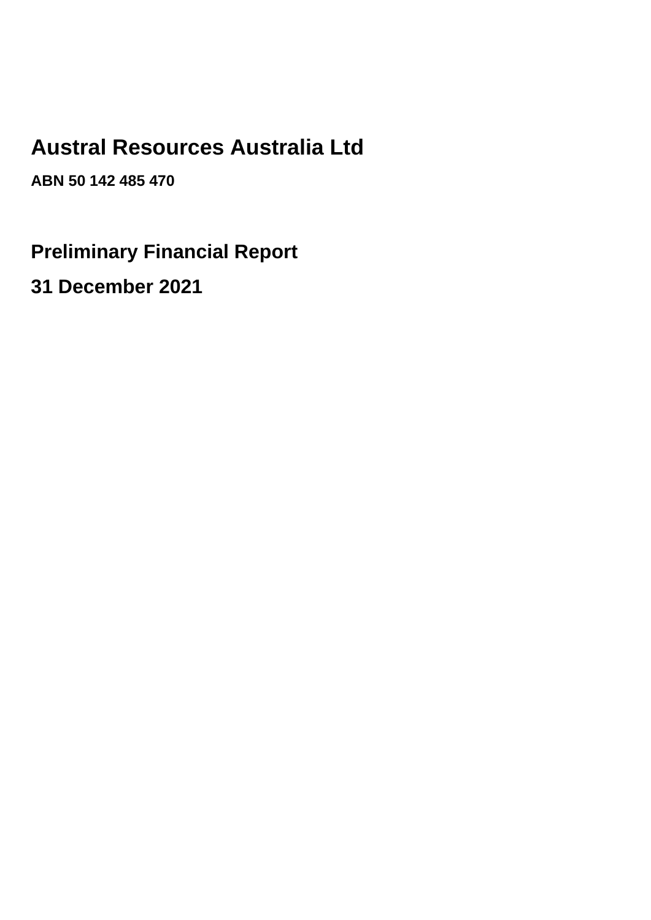# **Austral Resources Australia Ltd**

**ABN 50 142 485 470**

**Preliminary Financial Report**

**31 December 2021**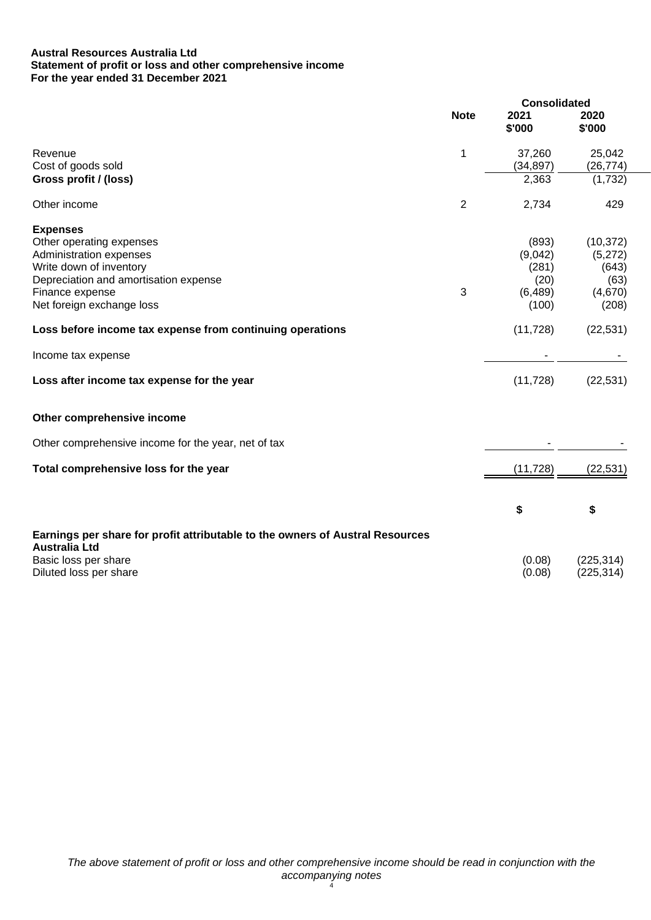#### **Austral Resources Australia Ltd Statement of profit or loss and other comprehensive income For the year ended 31 December 2021**

|                                                                               |                | <b>Consolidated</b> |                          |
|-------------------------------------------------------------------------------|----------------|---------------------|--------------------------|
|                                                                               | <b>Note</b>    | 2021<br>\$'000      | 2020<br>\$'000           |
| Revenue                                                                       | 1              | 37,260              | 25,042                   |
| Cost of goods sold<br>Gross profit / (loss)                                   |                | (34, 897)<br>2,363  | (26, 774)<br>(1,732)     |
| Other income                                                                  | $\overline{2}$ | 2,734               | 429                      |
| <b>Expenses</b>                                                               |                |                     |                          |
| Other operating expenses                                                      |                | (893)               | (10, 372)                |
| Administration expenses                                                       |                | (9,042)             | (5,272)                  |
| Write down of inventory                                                       |                | (281)               | (643)                    |
| Depreciation and amortisation expense<br>Finance expense                      | 3              | (20)<br>(6,489)     | (63)<br>(4,670)          |
| Net foreign exchange loss                                                     |                | (100)               | (208)                    |
| Loss before income tax expense from continuing operations                     |                | (11, 728)           | (22, 531)                |
| Income tax expense                                                            |                |                     |                          |
| Loss after income tax expense for the year                                    |                | (11, 728)           | (22, 531)                |
| Other comprehensive income                                                    |                |                     |                          |
| Other comprehensive income for the year, net of tax                           |                |                     |                          |
| Total comprehensive loss for the year                                         |                | (11, 728)           | (22, 531)                |
|                                                                               |                |                     |                          |
|                                                                               |                | \$                  | \$                       |
| Earnings per share for profit attributable to the owners of Austral Resources |                |                     |                          |
| <b>Australia Ltd</b>                                                          |                |                     |                          |
| Basic loss per share<br>Diluted loss per share                                |                | (0.08)<br>(0.08)    | (225, 314)<br>(225, 314) |
|                                                                               |                |                     |                          |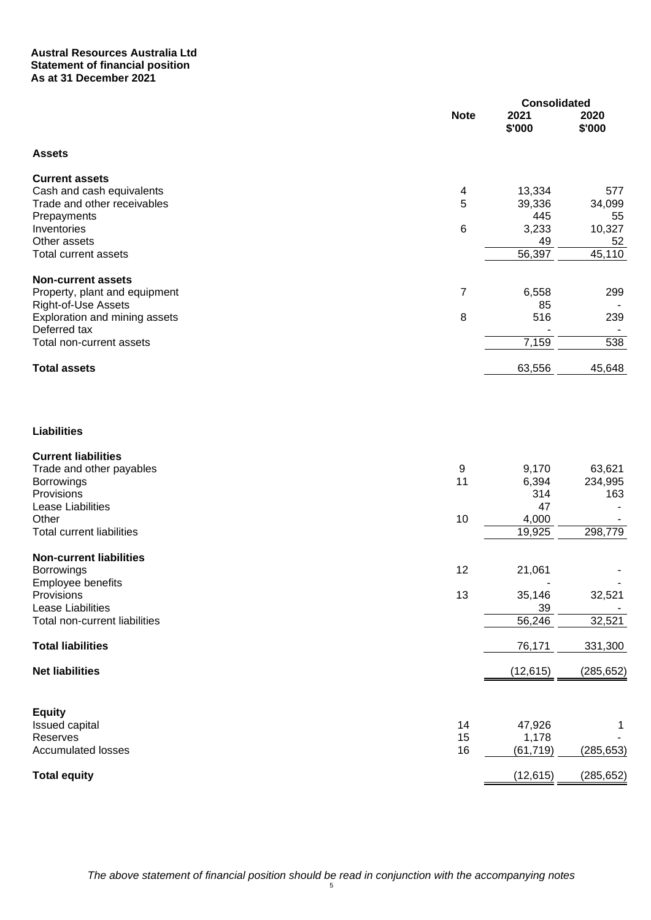#### **Austral Resources Australia Ltd Statement of financial position As at 31 December 2021**

|                                          |                | <b>Consolidated</b> |                |
|------------------------------------------|----------------|---------------------|----------------|
|                                          | <b>Note</b>    | 2021<br>\$'000      | 2020<br>\$'000 |
| <b>Assets</b>                            |                |                     |                |
| <b>Current assets</b>                    |                |                     |                |
| Cash and cash equivalents                | 4              | 13,334              | 577            |
| Trade and other receivables              | 5              | 39,336              | 34,099         |
| Prepayments                              |                | 445                 | 55             |
| Inventories                              | $\,6$          | 3,233               | 10,327         |
| Other assets                             |                | 49                  | 52             |
| <b>Total current assets</b>              |                | 56,397              | 45,110         |
| <b>Non-current assets</b>                |                |                     |                |
| Property, plant and equipment            | $\overline{7}$ | 6,558               | 299            |
| <b>Right-of-Use Assets</b>               |                | 85                  |                |
| Exploration and mining assets            | 8              | 516                 | 239            |
| Deferred tax<br>Total non-current assets |                | 7,159               | 538            |
|                                          |                |                     |                |
| <b>Total assets</b>                      |                | 63,556              | 45,648         |
|                                          |                |                     |                |
| <b>Liabilities</b>                       |                |                     |                |
| <b>Current liabilities</b>               |                |                     |                |
| Trade and other payables                 | 9              | 9,170               | 63,621         |
| Borrowings                               | 11             | 6,394               | 234,995        |
| Provisions                               |                | 314                 | 163            |
| Lease Liabilities                        |                | 47                  |                |
| Other                                    | 10             | 4,000               |                |
| <b>Total current liabilities</b>         |                | 19,925              | 298,779        |
| <b>Non-current liabilities</b>           |                |                     |                |
| Borrowings                               | 12             | 21,061              |                |
| Employee benefits                        |                |                     |                |
| Provisions<br>Lease Liabilities          | 13             | 35,146<br>39        | 32,521         |
| Total non-current liabilities            |                | 56,246              | 32,521         |
|                                          |                |                     |                |
| <b>Total liabilities</b>                 |                | 76,171              | 331,300        |
| <b>Net liabilities</b>                   |                | (12, 615)           | (285, 652)     |
|                                          |                |                     |                |
| <b>Equity</b>                            | 14             | 47,926              |                |
| Issued capital<br>Reserves               | 15             | 1,178               | 1              |
| <b>Accumulated losses</b>                | 16             | (61, 719)           | (285, 653)     |
|                                          |                |                     |                |
| <b>Total equity</b>                      |                | (12, 615)           | (285, 652)     |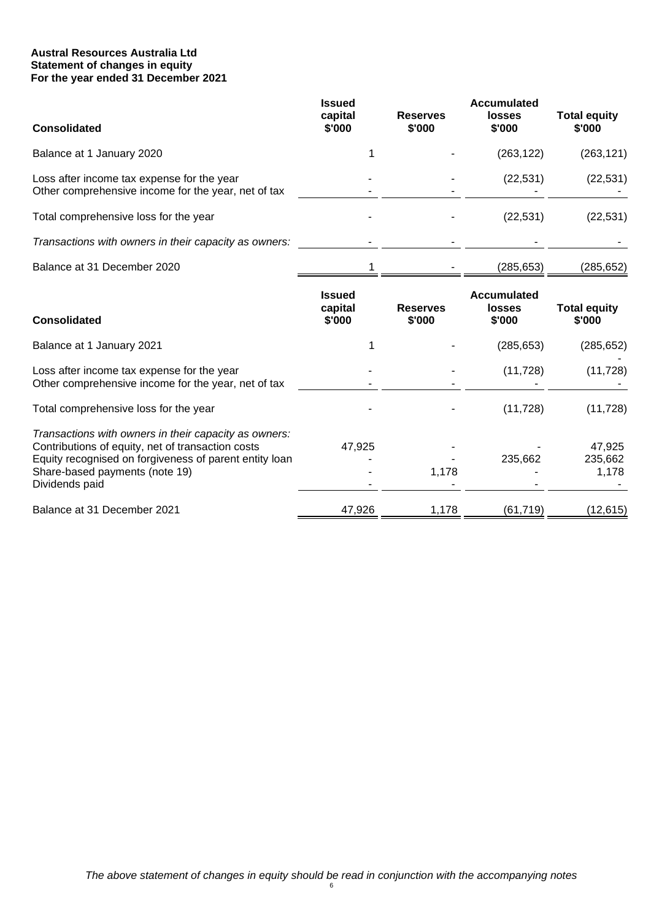#### **Austral Resources Australia Ltd Statement of changes in equity For the year ended 31 December 2021**

| <b>Consolidated</b>                                                                               | <b>Issued</b><br>capital<br>\$'000 | <b>Reserves</b><br>\$'000 | Accumulated<br>losses<br>\$'000 | <b>Total equity</b><br>\$'000 |
|---------------------------------------------------------------------------------------------------|------------------------------------|---------------------------|---------------------------------|-------------------------------|
| Balance at 1 January 2020                                                                         |                                    |                           | (263, 122)                      | (263, 121)                    |
| Loss after income tax expense for the year<br>Other comprehensive income for the year, net of tax |                                    |                           | (22, 531)                       | (22, 531)                     |
| Total comprehensive loss for the year                                                             |                                    |                           | (22, 531)                       | (22, 531)                     |
| Transactions with owners in their capacity as owners:                                             |                                    |                           |                                 |                               |
| Balance at 31 December 2020                                                                       |                                    |                           | (285,653)                       | (285,652)                     |

| <b>Consolidated</b>                                                                                                                                                                                                      | <b>Issued</b><br>capital<br>\$'000 | <b>Reserves</b><br>\$'000 | <b>Accumulated</b><br><b>losses</b><br>\$'000 | <b>Total equity</b><br>\$'000 |
|--------------------------------------------------------------------------------------------------------------------------------------------------------------------------------------------------------------------------|------------------------------------|---------------------------|-----------------------------------------------|-------------------------------|
| Balance at 1 January 2021                                                                                                                                                                                                |                                    |                           | (285, 653)                                    | (285, 652)                    |
| Loss after income tax expense for the year<br>Other comprehensive income for the year, net of tax                                                                                                                        |                                    |                           | (11, 728)                                     | (11, 728)                     |
| Total comprehensive loss for the year                                                                                                                                                                                    |                                    |                           | (11, 728)                                     | (11, 728)                     |
| Transactions with owners in their capacity as owners:<br>Contributions of equity, net of transaction costs<br>Equity recognised on forgiveness of parent entity loan<br>Share-based payments (note 19)<br>Dividends paid | 47,925                             | 1,178                     | 235,662                                       | 47.925<br>235,662<br>1.178    |
| Balance at 31 December 2021                                                                                                                                                                                              | 47,926                             | 1,178                     | (61, 719)                                     | (12, 615)                     |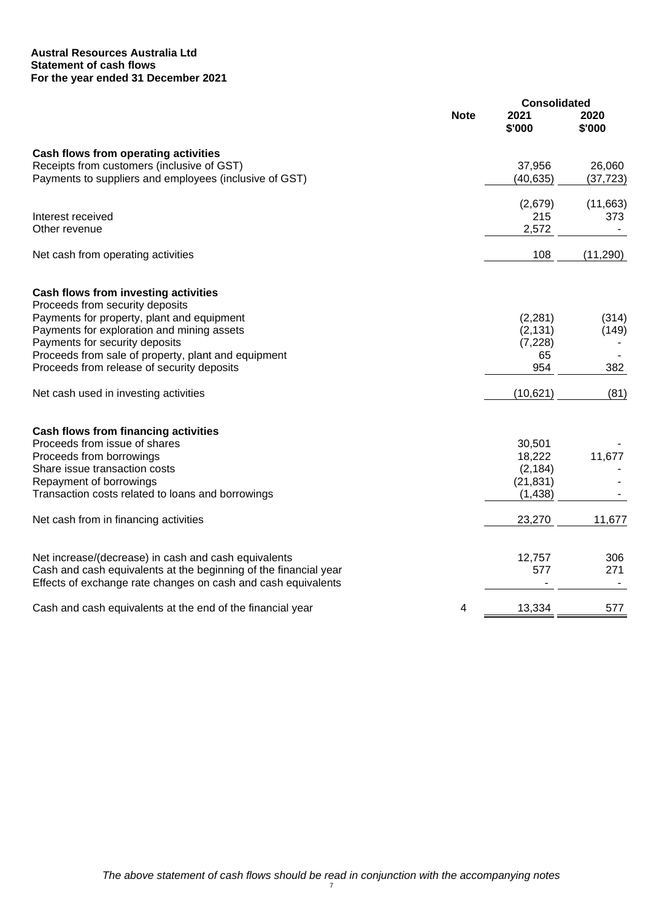#### **Austral Resources Australia Ltd Statement of cash flows For the year ended 31 December 2021**

|                                                                  |             | <b>Consolidated</b> |                |
|------------------------------------------------------------------|-------------|---------------------|----------------|
|                                                                  | <b>Note</b> | 2021<br>\$'000      | 2020<br>\$'000 |
| Cash flows from operating activities                             |             |                     |                |
| Receipts from customers (inclusive of GST)                       |             | 37,956              | 26,060         |
| Payments to suppliers and employees (inclusive of GST)           |             | (40, 635)           | (37, 723)      |
|                                                                  |             | (2,679)             | (11,663)       |
| Interest received                                                |             | 215                 | 373            |
| Other revenue                                                    |             | 2,572               |                |
| Net cash from operating activities                               |             | 108                 | (11, 290)      |
| Cash flows from investing activities                             |             |                     |                |
| Proceeds from security deposits                                  |             |                     |                |
| Payments for property, plant and equipment                       |             | (2, 281)            | (314)          |
| Payments for exploration and mining assets                       |             | (2, 131)            | (149)          |
| Payments for security deposits                                   |             | (7, 228)            |                |
| Proceeds from sale of property, plant and equipment              |             | 65                  |                |
| Proceeds from release of security deposits                       |             | 954                 | 382            |
| Net cash used in investing activities                            |             | (10, 621)           | (81)           |
| Cash flows from financing activities                             |             |                     |                |
| Proceeds from issue of shares                                    |             | 30,501              |                |
| Proceeds from borrowings                                         |             | 18,222              | 11,677         |
| Share issue transaction costs                                    |             | (2, 184)            |                |
| Repayment of borrowings                                          |             | (21, 831)           |                |
| Transaction costs related to loans and borrowings                |             | (1, 438)            |                |
| Net cash from in financing activities                            |             | 23,270              | 11,677         |
| Net increase/(decrease) in cash and cash equivalents             |             | 12,757              | 306            |
| Cash and cash equivalents at the beginning of the financial year |             | 577                 | 271            |
| Effects of exchange rate changes on cash and cash equivalents    |             |                     |                |
| Cash and cash equivalents at the end of the financial year       | 4           | 13,334              | 577            |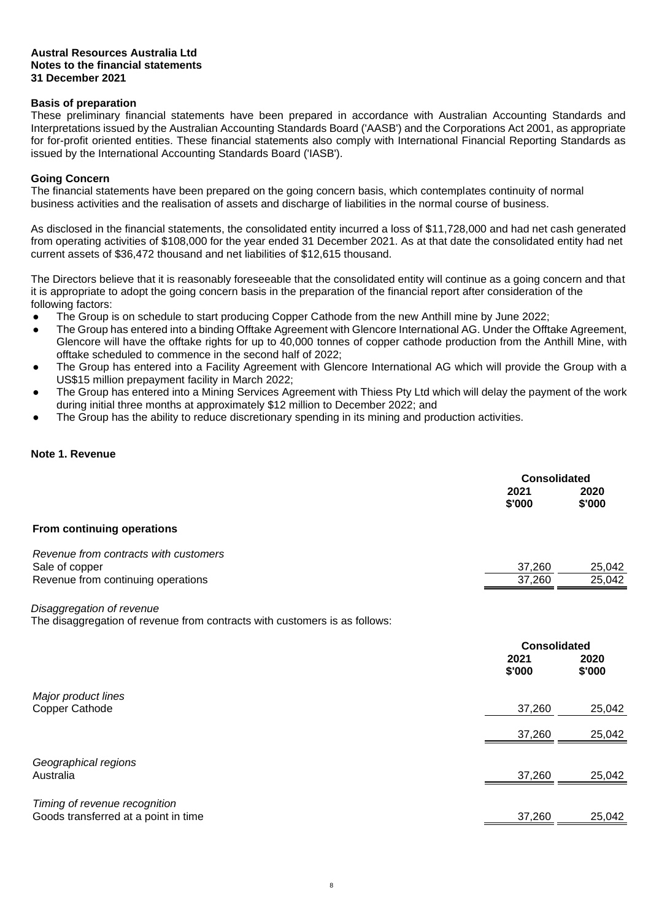#### **Basis of preparation**

These preliminary financial statements have been prepared in accordance with Australian Accounting Standards and Interpretations issued by the Australian Accounting Standards Board ('AASB') and the Corporations Act 2001, as appropriate for for-profit oriented entities. These financial statements also comply with International Financial Reporting Standards as issued by the International Accounting Standards Board ('IASB').

#### **Going Concern**

The financial statements have been prepared on the going concern basis, which contemplates continuity of normal business activities and the realisation of assets and discharge of liabilities in the normal course of business.

As disclosed in the financial statements, the consolidated entity incurred a loss of \$11,728,000 and had net cash generated from operating activities of \$108,000 for the year ended 31 December 2021. As at that date the consolidated entity had net current assets of \$36,472 thousand and net liabilities of \$12,615 thousand.

The Directors believe that it is reasonably foreseeable that the consolidated entity will continue as a going concern and that it is appropriate to adopt the going concern basis in the preparation of the financial report after consideration of the following factors:

- The Group is on schedule to start producing Copper Cathode from the new Anthill mine by June 2022:
- The Group has entered into a binding Offtake Agreement with Glencore International AG. Under the Offtake Agreement, Glencore will have the offtake rights for up to 40,000 tonnes of copper cathode production from the Anthill Mine, with offtake scheduled to commence in the second half of 2022;
- The Group has entered into a Facility Agreement with Glencore International AG which will provide the Group with a US\$15 million prepayment facility in March 2022;
- The Group has entered into a Mining Services Agreement with Thiess Pty Ltd which will delay the payment of the work during initial three months at approximately \$12 million to December 2022; and
- The Group has the ability to reduce discretionary spending in its mining and production activities.

#### **Note 1. Revenue**

|                                                                                                         | <b>Consolidated</b><br>2021<br>\$'000 | 2020<br>\$'000   |
|---------------------------------------------------------------------------------------------------------|---------------------------------------|------------------|
| From continuing operations                                                                              |                                       |                  |
| Revenue from contracts with customers<br>Sale of copper<br>Revenue from continuing operations           | 37,260<br>37,260                      | 25,042<br>25,042 |
| Disaggregation of revenue<br>The disaggregation of revenue from contracts with customers is as follows: |                                       |                  |
|                                                                                                         | <b>Consolidated</b><br>2021<br>\$'000 | 2020<br>\$'000   |
| Major product lines<br><b>Copper Cathode</b>                                                            | 37,260                                | 25,042           |
|                                                                                                         | 37,260                                | 25,042           |
| Geographical regions<br>Australia                                                                       | 37,260                                | 25,042           |
| Timing of revenue recognition<br>Goods transferred at a point in time                                   | 37,260                                | 25,042           |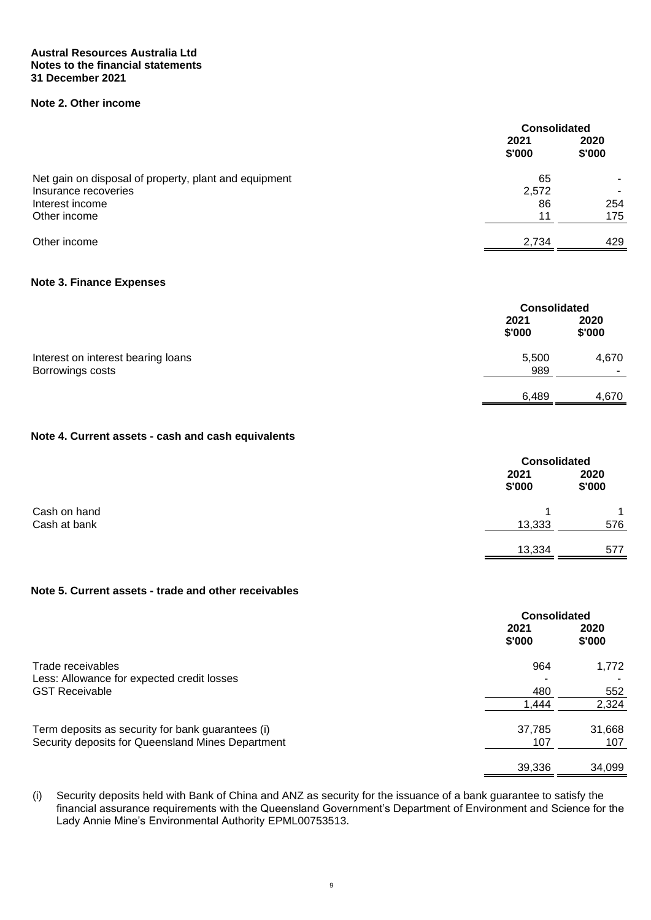# **Note 2. Other income**

| <b>Consolidated</b> |                |
|---------------------|----------------|
| 2021<br>\$'000      | 2020<br>\$'000 |
| 65                  |                |
| 2,572               |                |
| 86                  | 254            |
| 11                  | 175            |
| 2,734               | 429            |
|                     |                |

#### **Note 3. Finance Expenses**

|                                                        | <b>Consolidated</b> |                                   |
|--------------------------------------------------------|---------------------|-----------------------------------|
|                                                        | 2021<br>\$'000      | 2020<br>\$'000                    |
| Interest on interest bearing loans<br>Borrowings costs | 5,500<br>989        | 4,670<br>$\overline{\phantom{0}}$ |
|                                                        | 6,489               |                                   |
|                                                        |                     | 4,670                             |

# **Note 4. Current assets - cash and cash equivalents**

|              | <b>Consolidated</b> |                |
|--------------|---------------------|----------------|
|              | 2021<br>\$'000      | 2020<br>\$'000 |
| Cash on hand |                     |                |
| Cash at bank | 13,333              | 576            |
|              | 13,334              | 577            |

#### **Note 5. Current assets - trade and other receivables**

|                                                   | <b>Consolidated</b> |                |
|---------------------------------------------------|---------------------|----------------|
|                                                   | 2021<br>\$'000      | 2020<br>\$'000 |
| Trade receivables                                 | 964                 | 1,772          |
| Less: Allowance for expected credit losses        | ٠                   |                |
| <b>GST Receivable</b>                             | 480                 | 552            |
|                                                   | 1,444               | 2,324          |
| Term deposits as security for bank guarantees (i) | 37,785              | 31,668         |
| Security deposits for Queensland Mines Department | 107                 | 107            |
|                                                   | 39,336              | 34,099         |

(i) Security deposits held with Bank of China and ANZ as security for the issuance of a bank guarantee to satisfy the financial assurance requirements with the Queensland Government's Department of Environment and Science for the Lady Annie Mine's Environmental Authority EPML00753513.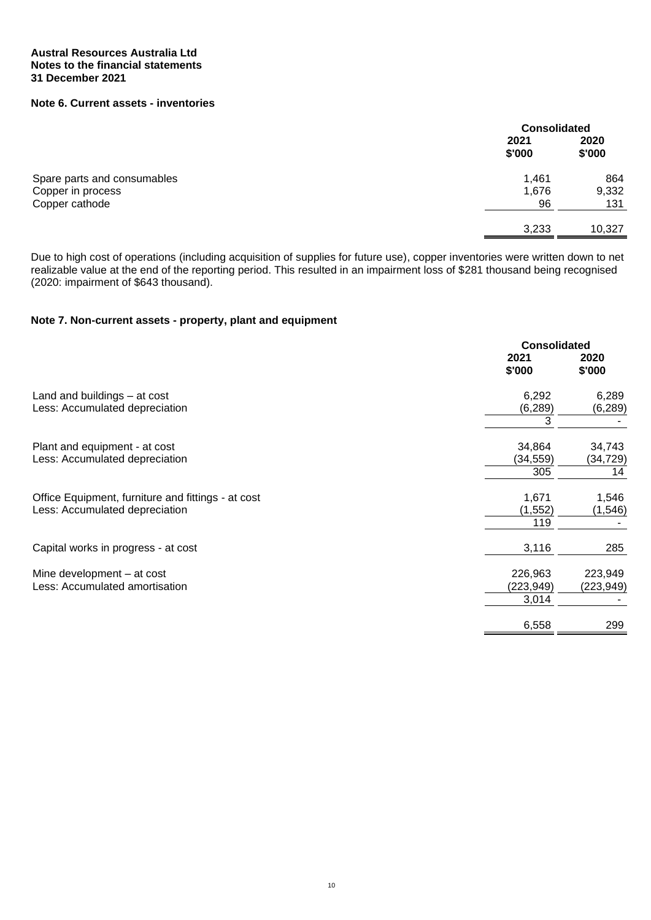# **Note 6. Current assets - inventories**

|                             |                | <b>Consolidated</b> |  |
|-----------------------------|----------------|---------------------|--|
|                             | 2021<br>\$'000 | 2020<br>\$'000      |  |
| Spare parts and consumables | 1,461          | 864<br>9,332        |  |
| Copper cathode              | 96             | 131                 |  |
|                             | 3,233          | 10,327              |  |
| Copper in process           | 1,676          |                     |  |

Due to high cost of operations (including acquisition of supplies for future use), copper inventories were written down to net realizable value at the end of the reporting period. This resulted in an impairment loss of \$281 thousand being recognised (2020: impairment of \$643 thousand).

# **Note 7. Non-current assets - property, plant and equipment**

|                                                    |                | <b>Consolidated</b> |  |
|----------------------------------------------------|----------------|---------------------|--|
|                                                    | 2021<br>\$'000 | 2020<br>\$'000      |  |
| Land and buildings - at cost                       | 6,292          | 6,289               |  |
| Less: Accumulated depreciation                     | (6, 289)       | (6, 289)            |  |
|                                                    | 3              |                     |  |
| Plant and equipment - at cost                      | 34,864         | 34,743              |  |
| Less: Accumulated depreciation                     | (34,559)       | (34,729)            |  |
|                                                    | 305            | 14                  |  |
| Office Equipment, furniture and fittings - at cost | 1,671          | 1,546               |  |
| Less: Accumulated depreciation                     | (1, 552)       | (1, 546)            |  |
|                                                    | 119            |                     |  |
| Capital works in progress - at cost                | 3,116          | 285                 |  |
| Mine development - at cost                         | 226,963        | 223,949             |  |
| Less: Accumulated amortisation                     | (223,949)      | (223, 949)          |  |
|                                                    | 3,014          |                     |  |
|                                                    | 6,558          | 299                 |  |
|                                                    |                |                     |  |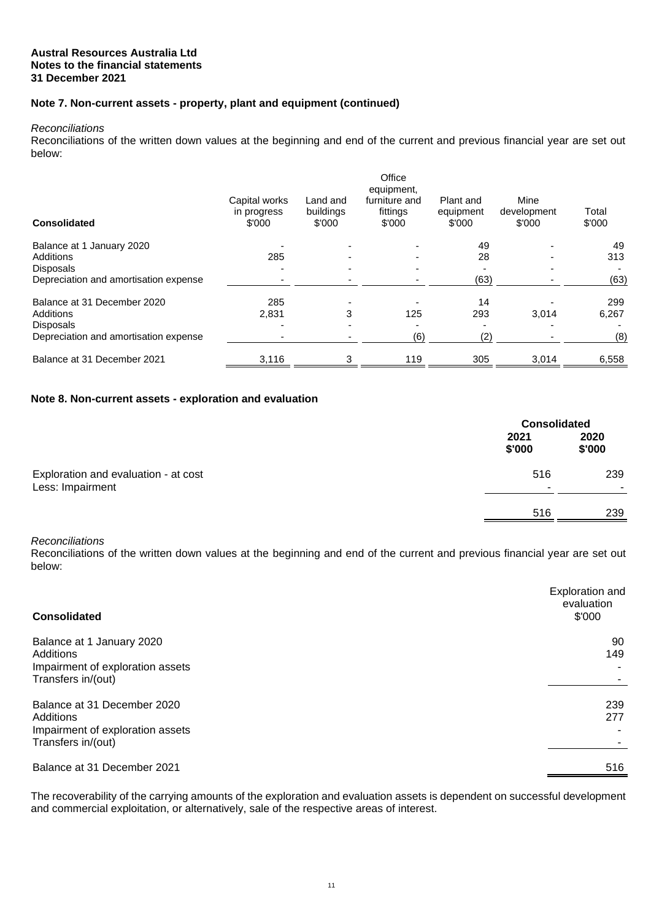#### **Note 7. Non-current assets - property, plant and equipment (continued)**

#### *Reconciliations*

Reconciliations of the written down values at the beginning and end of the current and previous financial year are set out below:

| <b>Consolidated</b>                   | Capital works<br>in progress<br>\$'000 | Land and<br>buildings<br>\$'000 | Office<br>equipment,<br>furniture and<br>fittings<br>\$'000 | Plant and<br>equipment<br>\$'000 | Mine<br>development<br>\$'000 | Total<br>\$'000 |
|---------------------------------------|----------------------------------------|---------------------------------|-------------------------------------------------------------|----------------------------------|-------------------------------|-----------------|
| Balance at 1 January 2020             |                                        |                                 |                                                             | 49                               |                               | 49              |
| Additions                             | 285                                    |                                 |                                                             | 28                               |                               | 313             |
| <b>Disposals</b>                      |                                        |                                 |                                                             |                                  |                               |                 |
| Depreciation and amortisation expense |                                        |                                 |                                                             | (63)                             |                               | (63)            |
| Balance at 31 December 2020           | 285                                    |                                 |                                                             | 14                               |                               | 299             |
| Additions                             | 2.831                                  | 3                               | 125                                                         | 293                              | 3.014                         | 6,267           |
| <b>Disposals</b>                      |                                        |                                 |                                                             |                                  |                               |                 |
| Depreciation and amortisation expense |                                        |                                 | (6)                                                         | (2)                              |                               | (8)             |
| Balance at 31 December 2021           | 3,116                                  | 3                               | 119                                                         | 305                              | 3,014                         | 6,558           |

#### **Note 8. Non-current assets - exploration and evaluation**

|                                                          |                | <b>Consolidated</b> |  |
|----------------------------------------------------------|----------------|---------------------|--|
|                                                          | 2021<br>\$'000 | 2020<br>\$'000      |  |
| Exploration and evaluation - at cost<br>Less: Impairment | 516<br>۰       | 239                 |  |
|                                                          | 516            | 239                 |  |

#### *Reconciliations*

Reconciliations of the written down values at the beginning and end of the current and previous financial year are set out below:

| <b>Consolidated</b>                                                                              | Exploration and<br>evaluation<br>\$'000 |
|--------------------------------------------------------------------------------------------------|-----------------------------------------|
| Balance at 1 January 2020<br>Additions<br>Impairment of exploration assets<br>Transfers in/(out) | 90<br>149                               |
| Balance at 31 December 2020<br>Additions                                                         | 239<br>277                              |
| Impairment of exploration assets<br>Transfers in/(out)                                           |                                         |
| Balance at 31 December 2021                                                                      | 516                                     |

The recoverability of the carrying amounts of the exploration and evaluation assets is dependent on successful development and commercial exploitation, or alternatively, sale of the respective areas of interest.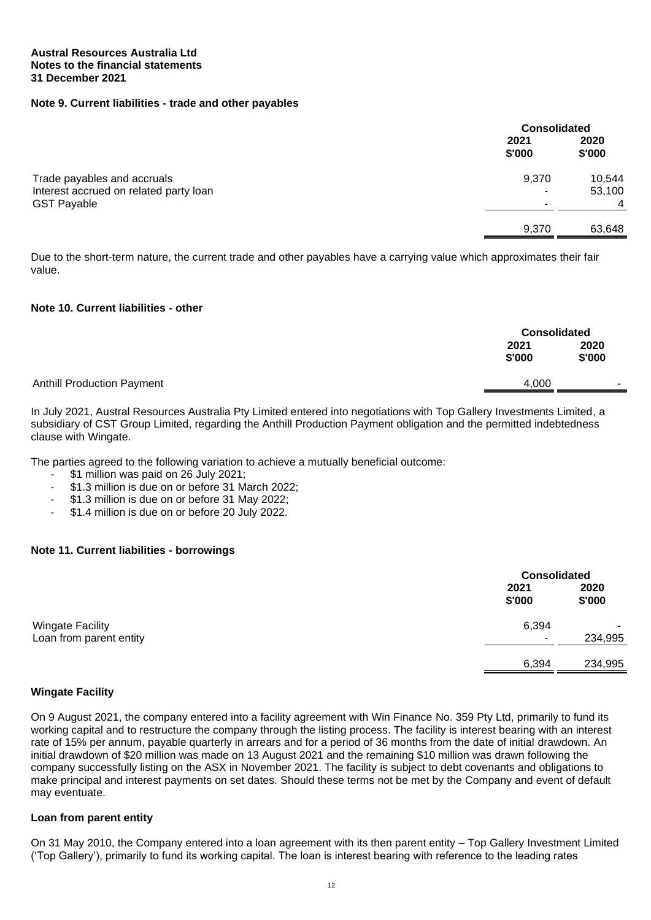#### **Note 9. Current liabilities - trade and other payables**

|                                                              |                | <b>Consolidated</b>      |  |
|--------------------------------------------------------------|----------------|--------------------------|--|
|                                                              | 2021<br>\$'000 | 2020<br>\$'000           |  |
| Trade payables and accruals                                  | 9,370          | 10,544                   |  |
| Interest accrued on related party loan<br><b>GST Payable</b> | ۰<br>۰         | 53,100<br>$\overline{4}$ |  |
|                                                              | 9.370          | 63,648                   |  |

Due to the short-term nature, the current trade and other payables have a carrying value which approximates their fair value.

#### **Note 10. Current liabilities - other**

|                                   |                | <b>Consolidated</b>      |  |
|-----------------------------------|----------------|--------------------------|--|
|                                   | 2021<br>\$'000 | 2020<br>\$'000           |  |
| <b>Anthill Production Payment</b> | 4,000          | $\overline{\phantom{a}}$ |  |

In July 2021, Austral Resources Australia Pty Limited entered into negotiations with Top Gallery Investments Limited, a subsidiary of CST Group Limited, regarding the Anthill Production Payment obligation and the permitted indebtedness clause with Wingate.

The parties agreed to the following variation to achieve a mutually beneficial outcome:

- \$1 million was paid on 26 July 2021:
- \$1.3 million is due on or before 31 March 2022;
- \$1.3 million is due on or before 31 May 2022;
- \$1.4 million is due on or before 20 July 2022.

#### **Note 11. Current liabilities - borrowings**

|                         |                          | <b>Consolidated</b>      |  |
|-------------------------|--------------------------|--------------------------|--|
|                         | 2021<br>\$'000           | 2020<br>\$'000           |  |
| Wingate Facility        | 6,394                    | $\overline{\phantom{a}}$ |  |
| Loan from parent entity | $\overline{\phantom{a}}$ | 234,995                  |  |
|                         | 6,394                    | 234,995                  |  |

#### **Wingate Facility**

On 9 August 2021, the company entered into a facility agreement with Win Finance No. 359 Pty Ltd, primarily to fund its working capital and to restructure the company through the listing process. The facility is interest bearing with an interest rate of 15% per annum, payable quarterly in arrears and for a period of 36 months from the date of initial drawdown. An initial drawdown of \$20 million was made on 13 August 2021 and the remaining \$10 million was drawn following the company successfully listing on the ASX in November 2021. The facility is subject to debt covenants and obligations to make principal and interest payments on set dates. Should these terms not be met by the Company and event of default may eventuate.

#### **Loan from parent entity**

On 31 May 2010, the Company entered into a loan agreement with its then parent entity – Top Gallery Investment Limited ('Top Gallery'), primarily to fund its working capital. The loan is interest bearing with reference to the leading rates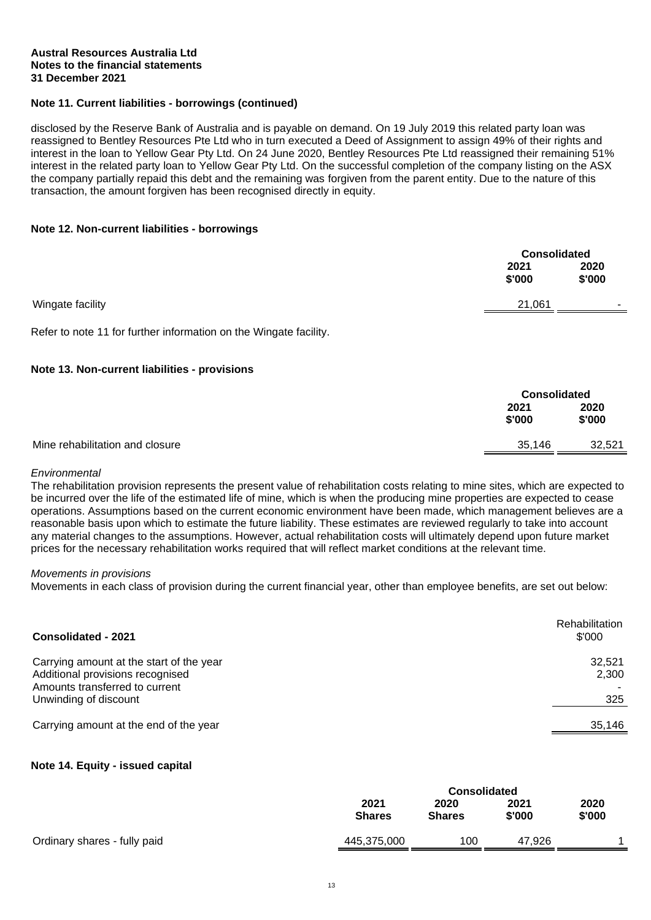#### **Note 11. Current liabilities - borrowings (continued)**

disclosed by the Reserve Bank of Australia and is payable on demand. On 19 July 2019 this related party loan was reassigned to Bentley Resources Pte Ltd who in turn executed a Deed of Assignment to assign 49% of their rights and interest in the loan to Yellow Gear Pty Ltd. On 24 June 2020, Bentley Resources Pte Ltd reassigned their remaining 51% interest in the related party loan to Yellow Gear Pty Ltd. On the successful completion of the company listing on the ASX the company partially repaid this debt and the remaining was forgiven from the parent entity. Due to the nature of this transaction, the amount forgiven has been recognised directly in equity.

#### **Note 12. Non-current liabilities - borrowings**

|                  |                | <b>Consolidated</b> |  |
|------------------|----------------|---------------------|--|
|                  | 2021<br>\$'000 | 2020<br>\$'000      |  |
| Wingate facility | 21,061         | $\qquad \qquad$     |  |

Refer to note 11 for further information on the Wingate facility.

#### **Note 13. Non-current liabilities - provisions**

|                                 |                | <b>Consolidated</b> |  |
|---------------------------------|----------------|---------------------|--|
|                                 | 2021<br>\$'000 | 2020<br>\$'000      |  |
| Mine rehabilitation and closure | 35,146         | 32,521              |  |

#### *Environmental*

The rehabilitation provision represents the present value of rehabilitation costs relating to mine sites, which are expected to be incurred over the life of the estimated life of mine, which is when the producing mine properties are expected to cease operations. Assumptions based on the current economic environment have been made, which management believes are a reasonable basis upon which to estimate the future liability. These estimates are reviewed regularly to take into account any material changes to the assumptions. However, actual rehabilitation costs will ultimately depend upon future market prices for the necessary rehabilitation works required that will reflect market conditions at the relevant time.

#### *Movements in provisions*

Movements in each class of provision during the current financial year, other than employee benefits, are set out below:

| Consolidated - 2021                                                                                                                     | <b>Rehabilitation</b><br>\$'000 |
|-----------------------------------------------------------------------------------------------------------------------------------------|---------------------------------|
| Carrying amount at the start of the year<br>Additional provisions recognised<br>Amounts transferred to current<br>Unwinding of discount | 32,521<br>2,300<br>325          |
| Carrying amount at the end of the year                                                                                                  | 35,146                          |

#### **Note 14. Equity - issued capital**

|                              | <b>Consolidated</b>   |                       |                |                |
|------------------------------|-----------------------|-----------------------|----------------|----------------|
|                              | 2021<br><b>Shares</b> | 2020<br><b>Shares</b> | 2021<br>\$'000 | 2020<br>\$'000 |
| Ordinary shares - fully paid | 445,375,000           | 100                   | 47.926         |                |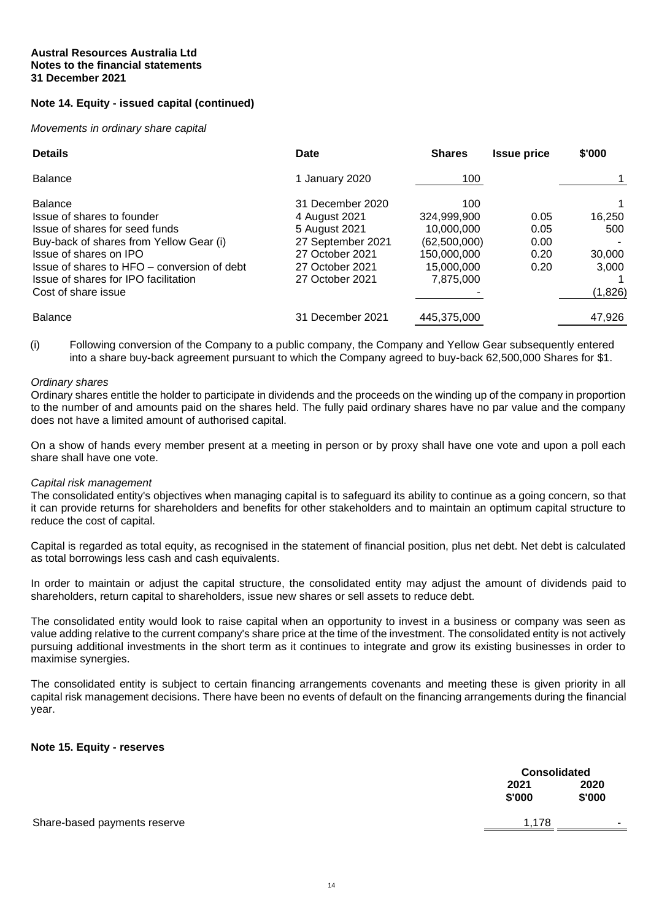# **Note 14. Equity - issued capital (continued)**

*Movements in ordinary share capital*

| <b>Details</b>                              | Date              | <b>Shares</b> | <b>Issue price</b> | \$'000  |
|---------------------------------------------|-------------------|---------------|--------------------|---------|
| <b>Balance</b>                              | 1 January 2020    | 100           |                    |         |
| <b>Balance</b>                              | 31 December 2020  | 100           |                    |         |
| Issue of shares to founder                  | 4 August 2021     | 324.999.900   | 0.05               | 16,250  |
| Issue of shares for seed funds              | 5 August 2021     | 10.000.000    | 0.05               | 500     |
| Buy-back of shares from Yellow Gear (i)     | 27 September 2021 | (62,500,000)  | 0.00               |         |
| Issue of shares on IPO                      | 27 October 2021   | 150,000,000   | 0.20               | 30,000  |
| Issue of shares to HFO – conversion of debt | 27 October 2021   | 15.000.000    | 0.20               | 3.000   |
| Issue of shares for IPO facilitation        | 27 October 2021   | 7,875,000     |                    |         |
| Cost of share issue                         |                   |               |                    | (1,826) |
| <b>Balance</b>                              | 31 December 2021  | 445,375,000   |                    | 47,926  |

(i) Following conversion of the Company to a public company, the Company and Yellow Gear subsequently entered into a share buy-back agreement pursuant to which the Company agreed to buy-back 62,500,000 Shares for \$1.

#### *Ordinary shares*

Ordinary shares entitle the holder to participate in dividends and the proceeds on the winding up of the company in proportion to the number of and amounts paid on the shares held. The fully paid ordinary shares have no par value and the company does not have a limited amount of authorised capital.

On a show of hands every member present at a meeting in person or by proxy shall have one vote and upon a poll each share shall have one vote.

#### *Capital risk management*

The consolidated entity's objectives when managing capital is to safeguard its ability to continue as a going concern, so that it can provide returns for shareholders and benefits for other stakeholders and to maintain an optimum capital structure to reduce the cost of capital.

Capital is regarded as total equity, as recognised in the statement of financial position, plus net debt. Net debt is calculated as total borrowings less cash and cash equivalents.

In order to maintain or adjust the capital structure, the consolidated entity may adjust the amount of dividends paid to shareholders, return capital to shareholders, issue new shares or sell assets to reduce debt.

The consolidated entity would look to raise capital when an opportunity to invest in a business or company was seen as value adding relative to the current company's share price at the time of the investment. The consolidated entity is not actively pursuing additional investments in the short term as it continues to integrate and grow its existing businesses in order to maximise synergies.

The consolidated entity is subject to certain financing arrangements covenants and meeting these is given priority in all capital risk management decisions. There have been no events of default on the financing arrangements during the financial year.

#### **Note 15. Equity - reserves**

|                              |                | <b>Consolidated</b> |  |
|------------------------------|----------------|---------------------|--|
|                              | 2021<br>\$'000 | 2020<br>\$'000      |  |
| Share-based payments reserve | 1.178          |                     |  |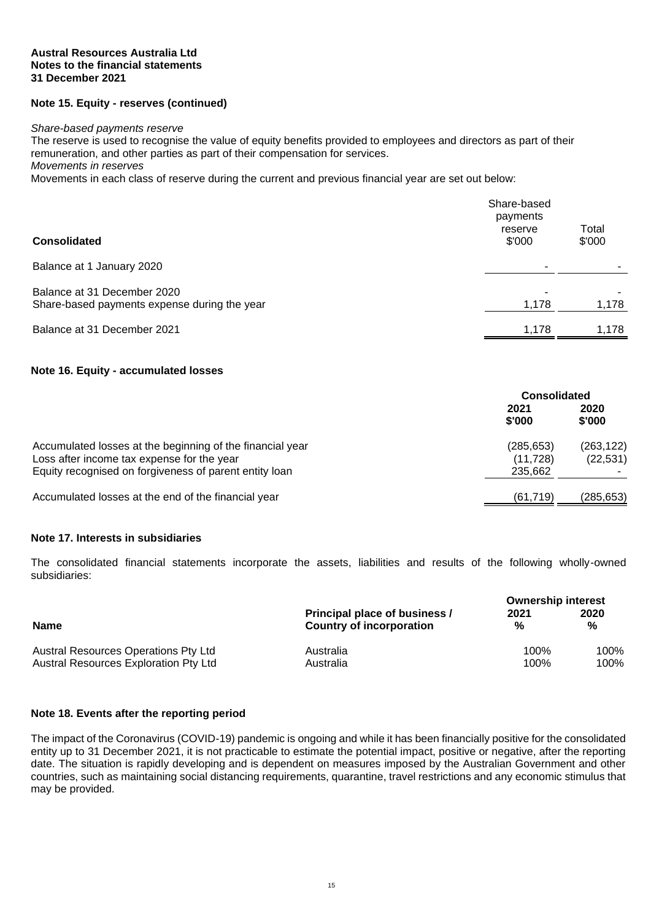#### **Note 15. Equity - reserves (continued)**

#### *Share-based payments reserve*

The reserve is used to recognise the value of equity benefits provided to employees and directors as part of their remuneration, and other parties as part of their compensation for services.

*Movements in reserves*

Movements in each class of reserve during the current and previous financial year are set out below:

| <b>Consolidated</b>                                                         | Share-based<br>payments<br>reserve<br>\$'000 | Total<br>\$'000 |
|-----------------------------------------------------------------------------|----------------------------------------------|-----------------|
| Balance at 1 January 2020                                                   |                                              |                 |
| Balance at 31 December 2020<br>Share-based payments expense during the year | 1,178                                        | 1,178           |
| Balance at 31 December 2021                                                 | 1,178                                        | 1,178           |

#### **Note 16. Equity - accumulated losses**

|                                                                                                                                                                   |                                   | <b>Consolidated</b>     |  |
|-------------------------------------------------------------------------------------------------------------------------------------------------------------------|-----------------------------------|-------------------------|--|
|                                                                                                                                                                   | 2021<br>\$'000                    | 2020<br>\$'000          |  |
| Accumulated losses at the beginning of the financial year<br>Loss after income tax expense for the year<br>Equity recognised on forgiveness of parent entity loan | (285,653)<br>(11, 728)<br>235,662 | (263, 122)<br>(22, 531) |  |
| Accumulated losses at the end of the financial year                                                                                                               | (61, 719)                         | (285, 653)              |  |

#### **Note 17. Interests in subsidiaries**

The consolidated financial statements incorporate the assets, liabilities and results of the following wholly-owned subsidiaries:

|                                             |                               | <b>Ownership interest</b> |      |
|---------------------------------------------|-------------------------------|---------------------------|------|
| <b>Name</b>                                 | Principal place of business / | 2021                      | 2020 |
|                                             | Country of incorporation      | %                         | %    |
| <b>Austral Resources Operations Pty Ltd</b> | Australia                     | 100%                      | 100% |
| Austral Resources Exploration Pty Ltd       | Australia                     | 100%                      | 100% |

#### **Note 18. Events after the reporting period**

The impact of the Coronavirus (COVID-19) pandemic is ongoing and while it has been financially positive for the consolidated entity up to 31 December 2021, it is not practicable to estimate the potential impact, positive or negative, after the reporting date. The situation is rapidly developing and is dependent on measures imposed by the Australian Government and other countries, such as maintaining social distancing requirements, quarantine, travel restrictions and any economic stimulus that may be provided.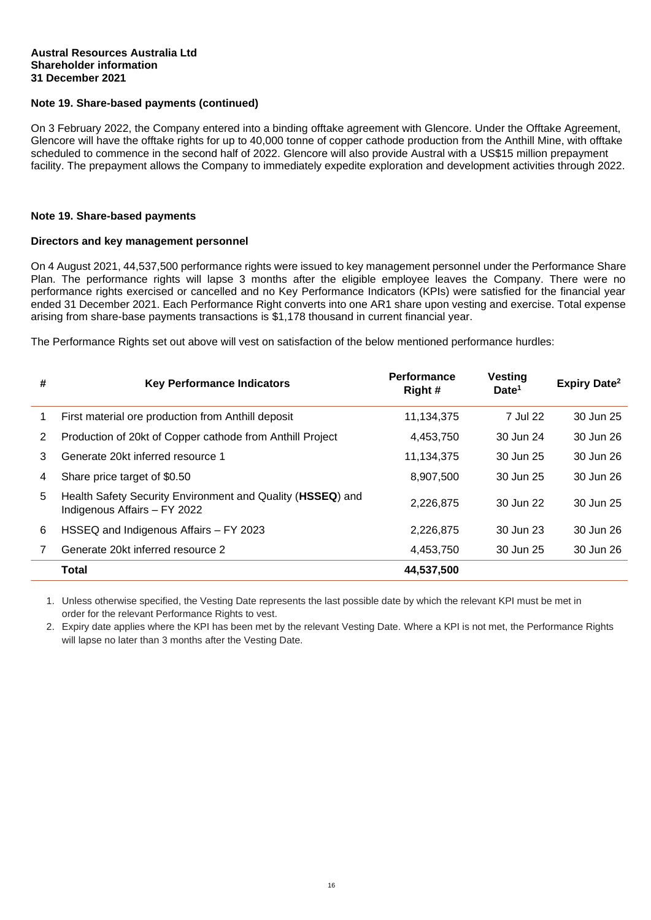#### **Austral Resources Australia Ltd Shareholder information 31 December 2021**

#### **Note 19. Share-based payments (continued)**

On 3 February 2022, the Company entered into a binding offtake agreement with Glencore. Under the Offtake Agreement, Glencore will have the offtake rights for up to 40,000 tonne of copper cathode production from the Anthill Mine, with offtake scheduled to commence in the second half of 2022. Glencore will also provide Austral with a US\$15 million prepayment facility. The prepayment allows the Company to immediately expedite exploration and development activities through 2022.

#### **Note 19. Share-based payments**

#### **Directors and key management personnel**

On 4 August 2021, 44,537,500 performance rights were issued to key management personnel under the Performance Share Plan. The performance rights will lapse 3 months after the eligible employee leaves the Company. There were no performance rights exercised or cancelled and no Key Performance Indicators (KPIs) were satisfied for the financial year ended 31 December 2021. Each Performance Right converts into one AR1 share upon vesting and exercise. Total expense arising from share-base payments transactions is \$1,178 thousand in current financial year.

The Performance Rights set out above will vest on satisfaction of the below mentioned performance hurdles:

| # | <b>Key Performance Indicators</b>                                                          | <b>Performance</b><br>Right# | <b>Vesting</b><br>Date <sup>1</sup> | <b>Expiry Date<sup>2</sup></b> |
|---|--------------------------------------------------------------------------------------------|------------------------------|-------------------------------------|--------------------------------|
| 1 | First material ore production from Anthill deposit                                         | 11,134,375                   | 7 Jul 22                            | 30 Jun 25                      |
| 2 | Production of 20kt of Copper cathode from Anthill Project                                  | 4,453,750                    | 30 Jun 24                           | 30 Jun 26                      |
| 3 | Generate 20kt inferred resource 1                                                          | 11,134,375                   | 30 Jun 25                           | 30 Jun 26                      |
| 4 | Share price target of \$0.50                                                               | 8,907,500                    | 30 Jun 25                           | 30 Jun 26                      |
| 5 | Health Safety Security Environment and Quality (HSSEQ) and<br>Indigenous Affairs - FY 2022 | 2.226.875                    | 30 Jun 22                           | 30 Jun 25                      |
| 6 | HSSEQ and Indigenous Affairs - FY 2023                                                     | 2,226,875                    | 30 Jun 23                           | 30 Jun 26                      |
| 7 | Generate 20kt inferred resource 2                                                          | 4,453,750                    | 30 Jun 25                           | 30 Jun 26                      |
|   | <b>Total</b>                                                                               | 44,537,500                   |                                     |                                |

1. Unless otherwise specified, the Vesting Date represents the last possible date by which the relevant KPI must be met in order for the relevant Performance Rights to vest.

2. Expiry date applies where the KPI has been met by the relevant Vesting Date. Where a KPI is not met, the Performance Rights will lapse no later than 3 months after the Vesting Date.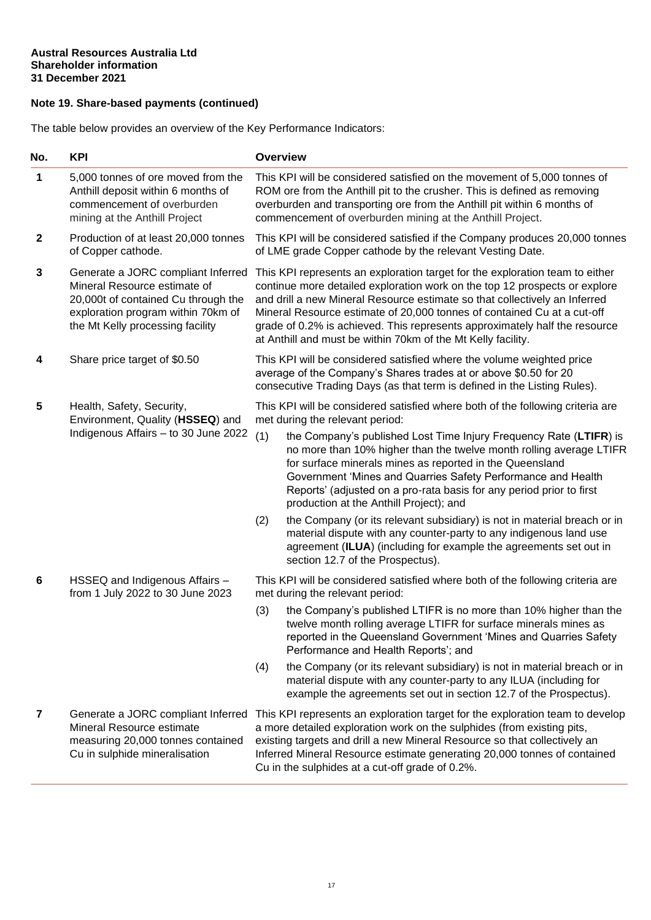# **Note 19. Share-based payments (continued)**

The table below provides an overview of the Key Performance Indicators:

| 5,000 tonnes of ore moved from the<br>Anthill deposit within 6 months of                                                                                                            |                                                                                                                                                                                                                                                                                                                                                                                                                                                                   |                                                                                                                                                                                                                                                                                                                                                                                          |  |
|-------------------------------------------------------------------------------------------------------------------------------------------------------------------------------------|-------------------------------------------------------------------------------------------------------------------------------------------------------------------------------------------------------------------------------------------------------------------------------------------------------------------------------------------------------------------------------------------------------------------------------------------------------------------|------------------------------------------------------------------------------------------------------------------------------------------------------------------------------------------------------------------------------------------------------------------------------------------------------------------------------------------------------------------------------------------|--|
| commencement of overburden<br>mining at the Anthill Project                                                                                                                         | This KPI will be considered satisfied on the movement of 5,000 tonnes of<br>ROM ore from the Anthill pit to the crusher. This is defined as removing<br>overburden and transporting ore from the Anthill pit within 6 months of<br>commencement of overburden mining at the Anthill Project.                                                                                                                                                                      |                                                                                                                                                                                                                                                                                                                                                                                          |  |
| Production of at least 20,000 tonnes<br>of Copper cathode.                                                                                                                          |                                                                                                                                                                                                                                                                                                                                                                                                                                                                   | This KPI will be considered satisfied if the Company produces 20,000 tonnes<br>of LME grade Copper cathode by the relevant Vesting Date.                                                                                                                                                                                                                                                 |  |
| Generate a JORC compliant Inferred<br>Mineral Resource estimate of<br>20,000t of contained Cu through the<br>exploration program within 70km of<br>the Mt Kelly processing facility | This KPI represents an exploration target for the exploration team to either<br>continue more detailed exploration work on the top 12 prospects or explore<br>and drill a new Mineral Resource estimate so that collectively an Inferred<br>Mineral Resource estimate of 20,000 tonnes of contained Cu at a cut-off<br>grade of 0.2% is achieved. This represents approximately half the resource<br>at Anthill and must be within 70km of the Mt Kelly facility. |                                                                                                                                                                                                                                                                                                                                                                                          |  |
| Share price target of \$0.50                                                                                                                                                        | This KPI will be considered satisfied where the volume weighted price<br>average of the Company's Shares trades at or above \$0.50 for 20<br>consecutive Trading Days (as that term is defined in the Listing Rules).                                                                                                                                                                                                                                             |                                                                                                                                                                                                                                                                                                                                                                                          |  |
| Health, Safety, Security,                                                                                                                                                           |                                                                                                                                                                                                                                                                                                                                                                                                                                                                   | This KPI will be considered satisfied where both of the following criteria are<br>met during the relevant period:                                                                                                                                                                                                                                                                        |  |
| Indigenous Affairs - to 30 June 2022                                                                                                                                                | (1)                                                                                                                                                                                                                                                                                                                                                                                                                                                               | the Company's published Lost Time Injury Frequency Rate (LTIFR) is<br>no more than 10% higher than the twelve month rolling average LTIFR<br>for surface minerals mines as reported in the Queensland<br>Government 'Mines and Quarries Safety Performance and Health<br>Reports' (adjusted on a pro-rata basis for any period prior to first<br>production at the Anthill Project); and |  |
|                                                                                                                                                                                     | (2)                                                                                                                                                                                                                                                                                                                                                                                                                                                               | the Company (or its relevant subsidiary) is not in material breach or in<br>material dispute with any counter-party to any indigenous land use<br>agreement (ILUA) (including for example the agreements set out in<br>section 12.7 of the Prospectus).                                                                                                                                  |  |
| HSSEQ and Indigenous Affairs -<br>from 1 July 2022 to 30 June 2023                                                                                                                  | This KPI will be considered satisfied where both of the following criteria are<br>met during the relevant period:                                                                                                                                                                                                                                                                                                                                                 |                                                                                                                                                                                                                                                                                                                                                                                          |  |
|                                                                                                                                                                                     | (3)                                                                                                                                                                                                                                                                                                                                                                                                                                                               | the Company's published LTIFR is no more than 10% higher than the<br>twelve month rolling average LTIFR for surface minerals mines as<br>reported in the Queensland Government 'Mines and Quarries Safety<br>Performance and Health Reports'; and                                                                                                                                        |  |
|                                                                                                                                                                                     | (4)                                                                                                                                                                                                                                                                                                                                                                                                                                                               | the Company (or its relevant subsidiary) is not in material breach or in<br>material dispute with any counter-party to any ILUA (including for<br>example the agreements set out in section 12.7 of the Prospectus).                                                                                                                                                                     |  |
| Generate a JORC compliant Inferred<br>Mineral Resource estimate<br>measuring 20,000 tonnes contained<br>Cu in sulphide mineralisation                                               |                                                                                                                                                                                                                                                                                                                                                                                                                                                                   | This KPI represents an exploration target for the exploration team to develop<br>a more detailed exploration work on the sulphides (from existing pits,<br>existing targets and drill a new Mineral Resource so that collectively an<br>Inferred Mineral Resource estimate generating 20,000 tonnes of contained<br>Cu in the sulphides at a cut-off grade of 0.2%.                      |  |
|                                                                                                                                                                                     | Environment, Quality (HSSEQ) and                                                                                                                                                                                                                                                                                                                                                                                                                                  |                                                                                                                                                                                                                                                                                                                                                                                          |  |